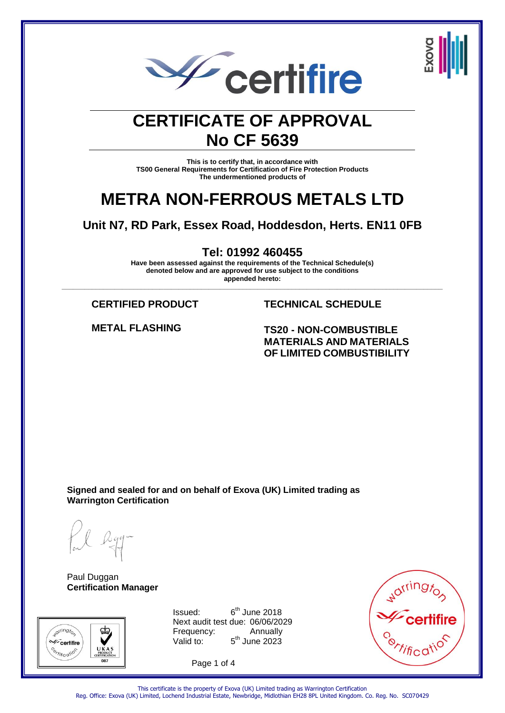



#### **CERTIFICATE OF APPROVAL No CF 5639**

**This is to certify that, in accordance with TS00 General Requirements for Certification of Fire Protection Products The undermentioned products of**

#### **METRA NON-FERROUS METALS LTD**

**Unit N7, RD Park, Essex Road, Hoddesdon, Herts. EN11 0FB**

**Tel: 01992 460455**

**Have been assessed against the requirements of the Technical Schedule(s) denoted below and are approved for use subject to the conditions appended hereto: \_\_\_\_\_\_\_\_\_\_\_\_\_\_\_\_\_\_\_\_\_\_\_\_\_\_\_\_\_\_\_\_\_\_\_\_\_\_\_\_\_\_\_\_\_\_\_\_\_\_\_\_\_\_\_\_\_\_\_\_\_\_\_\_\_\_\_\_\_\_\_\_\_\_\_\_\_\_\_\_\_\_\_\_\_\_\_\_\_\_\_\_\_\_\_\_\_\_\_\_\_**

**CERTIFIED PRODUCT TECHNICAL SCHEDULE**

**METAL FLASHING TS20 - NON-COMBUSTIBLE MATERIALS AND MATERIALS OF LIMITED COMBUSTIBILITY**

**Signed and sealed for and on behalf of Exova (UK) Limited trading as Warrington Certification**

Paul Duggan **Certification Manager**



 $Is sued: 6<sup>th</sup> June 2018$ Next audit test due: 06/06/2029 Frequency: Annually Valid to:  $5<sup>th</sup>$  June 2023

Page 1 of 4



This certificate is the property of Exova (UK) Limited trading as Warrington Certification Reg. Office: Exova (UK) Limited, Lochend Industrial Estate, Newbridge, Midlothian EH28 8PL United Kingdom. Co. Reg. No. SC070429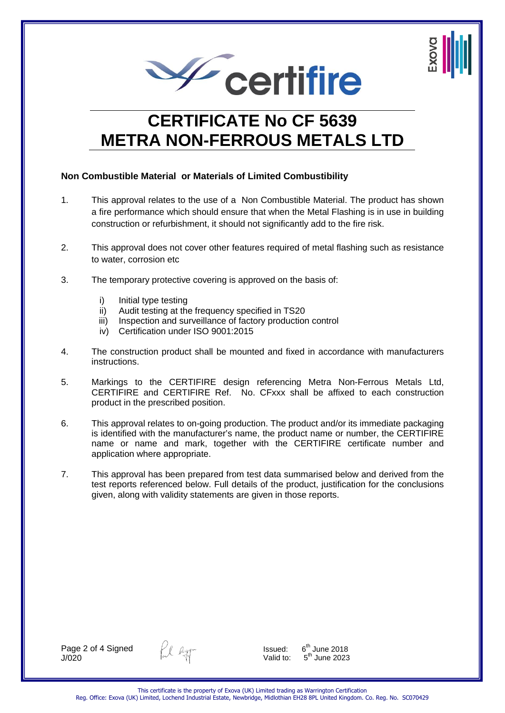



## **CERTIFICATE No CF 5639 METRA NON-FERROUS METALS LTD**

#### **Non Combustible Material or Materials of Limited Combustibility**

- 1. This approval relates to the use of a Non Combustible Material. The product has shown a fire performance which should ensure that when the Metal Flashing is in use in building construction or refurbishment, it should not significantly add to the fire risk.
- 2. This approval does not cover other features required of metal flashing such as resistance to water, corrosion etc
- 3. The temporary protective covering is approved on the basis of:
	- i) Initial type testing
	- ii) Audit testing at the frequency specified in TS20
	- iii) Inspection and surveillance of factory production control
	- iv) Certification under ISO 9001:2015
- 4. The construction product shall be mounted and fixed in accordance with manufacturers instructions.
- 5. Markings to the CERTIFIRE design referencing Metra Non-Ferrous Metals Ltd, CERTIFIRE and CERTIFIRE Ref. No. CFxxx shall be affixed to each construction product in the prescribed position.
- 6. This approval relates to on-going production. The product and/or its immediate packaging is identified with the manufacturer's name, the product name or number, the CERTIFIRE name or name and mark, together with the CERTIFIRE certificate number and application where appropriate.
- 7. This approval has been prepared from test data summarised below and derived from the test reports referenced below. Full details of the product, justification for the conclusions given, along with validity statements are given in those reports.

Page 2 of 4 Signed J/020



Issued:  $6^{th}$  June 2018<br>Valid to:  $5^{th}$  June 2023  $5<sup>th</sup>$  June 2023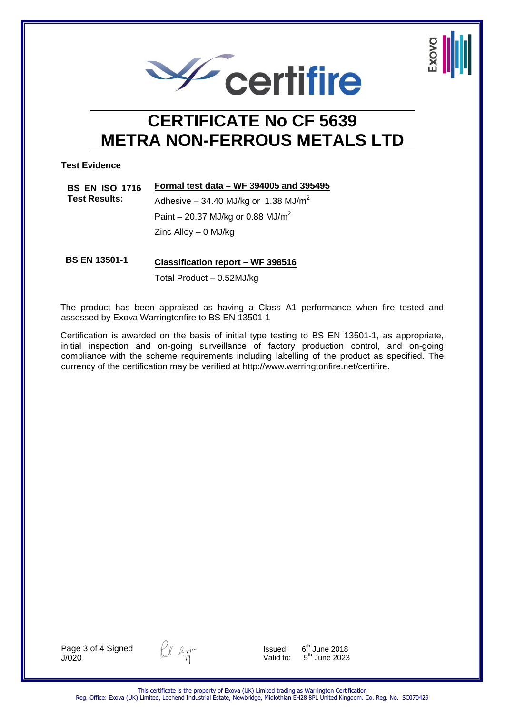

## **CERTIFICATE No CF 5639 METRA NON-FERROUS METALS LTD**

**Test Evidence**

| <b>BS EN ISO 1716</b><br><b>Test Results:</b> | Formal test data – WF 394005 and 395495            |  |
|-----------------------------------------------|----------------------------------------------------|--|
|                                               | Adhesive $-$ 34.40 MJ/kg or 1.38 MJ/m <sup>2</sup> |  |
|                                               | Paint – 20.37 MJ/kg or 0.88 MJ/m <sup>2</sup>      |  |
|                                               | Zinc Alloy $-$ 0 MJ/kg                             |  |

**BS EN 13501-1 Classification report – WF 398516** Total Product – 0.52MJ/kg

The product has been appraised as having a Class A1 performance when fire tested and assessed by Exova Warringtonfire to BS EN 13501-1

Certification is awarded on the basis of initial type testing to BS EN 13501-1, as appropriate, initial inspection and on-going surveillance of factory production control, and on-going compliance with the scheme requirements including labelling of the product as specified. The currency of the certification may be verified at http://www.warringtonfire.net/certifire.

Page 3 of 4 Signed J/020



Issued:  $6^{\text{th}}$  June 2018<br>Valid to:  $5^{\text{th}}$  June 2023  $5<sup>th</sup>$  June 2023